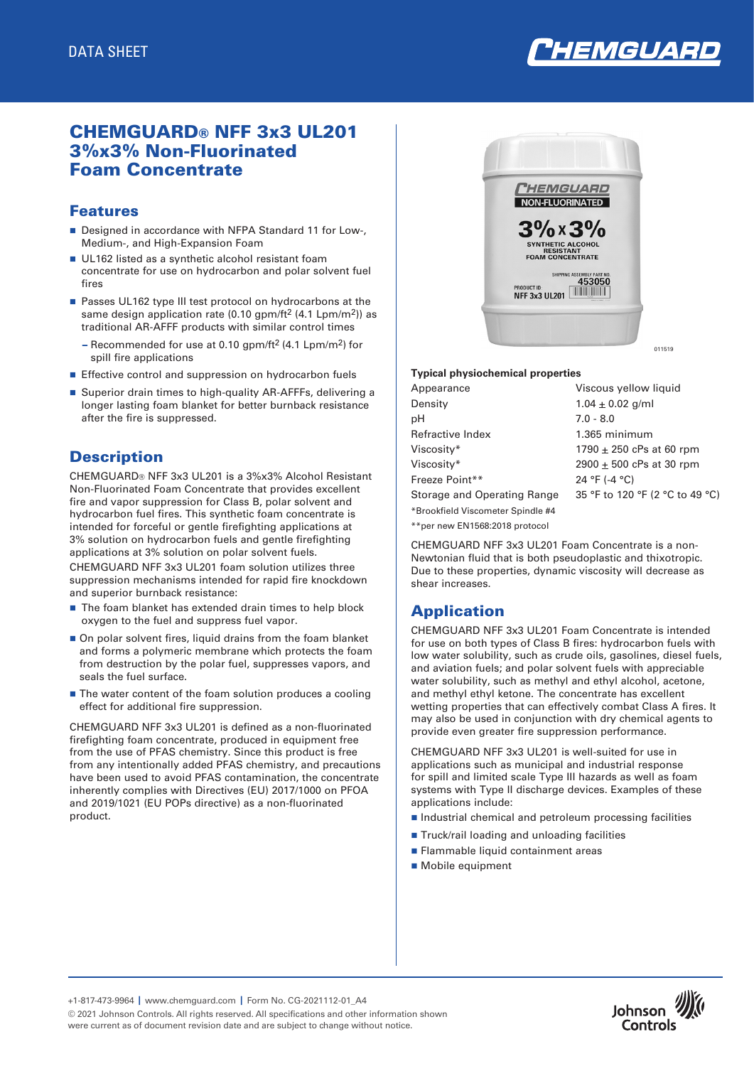

# CHEMGUARD® NFF 3x3 UL201 3%x3% Non-Fluorinated Foam Concentrate

#### Features

- Designed in accordance with NFPA Standard 11 for Low-, Medium-, and High-Expansion Foam
- UL162 listed as a synthetic alcohol resistant foam concentrate for use on hydrocarbon and polar solvent fuel fires
- Passes UL162 type III test protocol on hydrocarbons at the same design application rate (0.10 gpm/ft<sup>2</sup> (4.1 Lpm/m<sup>2</sup>)) as traditional AR-AFFF products with similar control times
	- Recommended for use at 0.10 gpm/ft2 (4.1 Lpm/m2) for spill fire applications
- Effective control and suppression on hydrocarbon fuels
- Superior drain times to high-quality AR-AFFFs, delivering a longer lasting foam blanket for better burnback resistance after the fire is suppressed.

### **Description**

CHEMGUARD® NFF 3x3 UL201 is a 3%x3% Alcohol Resistant Non-Fluorinated Foam Concentrate that provides excellent fire and vapor suppression for Class B, polar solvent and hydrocarbon fuel fires. This synthetic foam concentrate is intended for forceful or gentle firefighting applications at 3% solution on hydrocarbon fuels and gentle firefighting applications at 3% solution on polar solvent fuels. CHEMGUARD NFF 3x3 UL201 foam solution utilizes three suppression mechanisms intended for rapid fire knockdown

and superior burnback resistance:

- The foam blanket has extended drain times to help block oxygen to the fuel and suppress fuel vapor.
- $\blacksquare$  On polar solvent fires, liquid drains from the foam blanket and forms a polymeric membrane which protects the foam from destruction by the polar fuel, suppresses vapors, and seals the fuel surface.
- $\blacksquare$  The water content of the foam solution produces a cooling effect for additional fire suppression.

CHEMGUARD NFF 3x3 UL201 is defined as a non-fluorinated firefighting foam concentrate, produced in equipment free from the use of PFAS chemistry. Since this product is free from any intentionally added PFAS chemistry, and precautions have been used to avoid PFAS contamination, the concentrate inherently complies with Directives (EU) 2017/1000 on PFOA and 2019/1021 (EU POPs directive) as a non-fluorinated product.



#### **Typical physiochemical properties**

| Appearance                        | Viscous yellow liquid           |
|-----------------------------------|---------------------------------|
| Density                           | $1.04 \pm 0.02$ g/ml            |
| рH                                | $7.0 - 8.0$                     |
| Refractive Index                  | 1.365 minimum                   |
| Viscosity*                        | 1790 $\pm$ 250 cPs at 60 rpm    |
| Viscosity*                        | $2900 \pm 500$ cPs at 30 rpm    |
| Freeze Point**                    | 24 °F (-4 °C)                   |
| Storage and Operating Range       | 35 °F to 120 °F (2 °C to 49 °C) |
| *Brookfield Viscometer Spindle #4 |                                 |

\*\*per new EN1568:2018 protocol

CHEMGUARD NFF 3x3 UL201 Foam Concentrate is a non-Newtonian fluid that is both pseudoplastic and thixotropic. Due to these properties, dynamic viscosity will decrease as shear increases.

# Application

CHEMGUARD NFF 3x3 UL201 Foam Concentrate is intended for use on both types of Class B fires: hydrocarbon fuels with low water solubility, such as crude oils, gasolines, diesel fuels, and aviation fuels; and polar solvent fuels with appreciable water solubility, such as methyl and ethyl alcohol, acetone, and methyl ethyl ketone. The concentrate has excellent wetting properties that can effectively combat Class A fires. It may also be used in conjunction with dry chemical agents to provide even greater fire suppression performance.

CHEMGUARD NFF 3x3 UL201 is well-suited for use in applications such as municipal and industrial response for spill and limited scale Type III hazards as well as foam systems with Type II discharge devices. Examples of these applications include:

- Industrial chemical and petroleum processing facilities
- Truck/rail loading and unloading facilities
- **n** Flammable liquid containment areas
- Mobile equipment